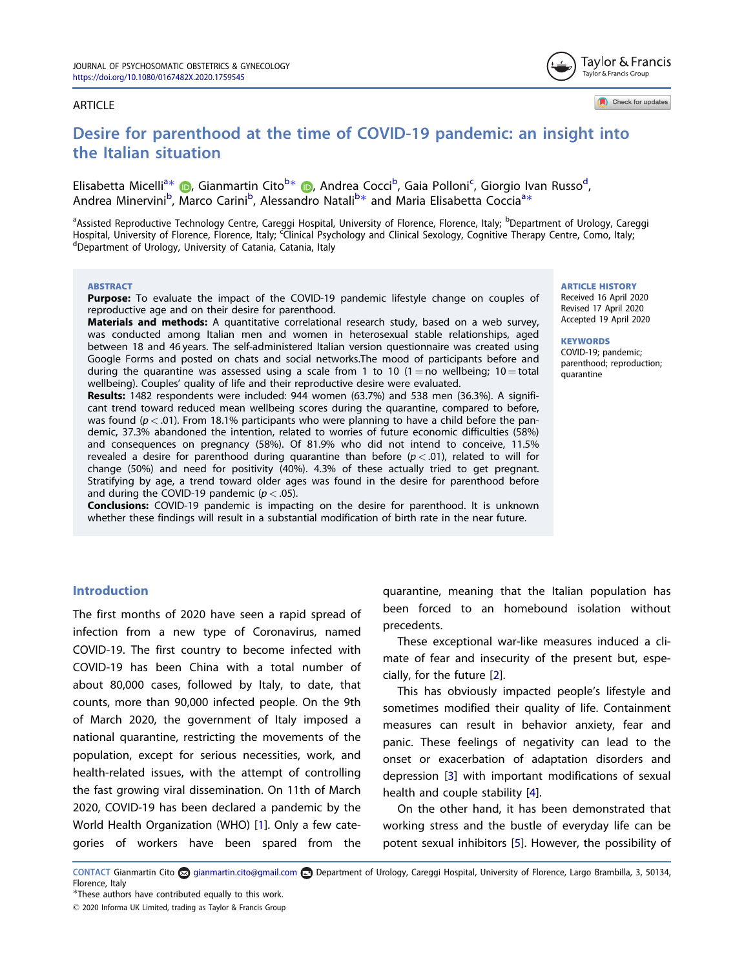### **ARTICLE**

Check for updates

Tavlor & Francis Taylor & Francis Group

# Desire for parenthood at the time of COVID-19 pandemic: an insight into the Italian situation

Elisabetta Micelli<sup>a</sup> (D, Gianmartin Cito<sup>b</sup> (D, Andrea Cocci<sup>b</sup>, Gaia Polloni<sup>c</sup>, Giorgio Ivan Russo<sup>d</sup>, Andrea Minervini<sup>b</sup>, Marco Carini<sup>b</sup>, Alessandro Natali<sup>b\*</sup> and Maria Elisabetta Coccia<sup>a\*</sup>

<sup>a</sup>Assisted Reproductive Technology Centre, Careggi Hospital, University of Florence, Florence, Italy; <sup>b</sup>Department of Urology, Careggi Hospital, University of Florence, Florence, Italy; <sup>c</sup>Clinical Psychology and Clinical Sexology, Cognitive Therapy Centre, Como, Italy;<br><sup>d</sup>Dopartment of Urology, University of Catania, Catania, Italy Department of Urology, University of Catania, Catania, Italy

#### **ARSTRACT**

Purpose: To evaluate the impact of the COVID-19 pandemic lifestyle change on couples of reproductive age and on their desire for parenthood.

Materials and methods: A quantitative correlational research study, based on a web survey, was conducted among Italian men and women in heterosexual stable relationships, aged between 18 and 46 years. The self-administered Italian version questionnaire was created using Google Forms and posted on chats and social networks.The mood of participants before and during the quarantine was assessed using a scale from 1 to 10 (1 = no wellbeing; 10 = total wellbeing). Couples' quality of life and their reproductive desire were evaluated.

Results: 1482 respondents were included: 944 women (63.7%) and 538 men (36.3%). A significant trend toward reduced mean wellbeing scores during the quarantine, compared to before, was found ( $p < .01$ ). From 18.1% participants who were planning to have a child before the pandemic, 37.3% abandoned the intention, related to worries of future economic difficulties (58%) and consequences on pregnancy (58%). Of 81.9% who did not intend to conceive, 11.5% revealed a desire for parenthood during quarantine than before ( $p < .01$ ), related to will for change (50%) and need for positivity (40%). 4.3% of these actually tried to get pregnant. Stratifying by age, a trend toward older ages was found in the desire for parenthood before and during the COVID-19 pandemic ( $p < .05$ ).

**Conclusions:** COVID-19 pandemic is impacting on the desire for parenthood. It is unknown whether these findings will result in a substantial modification of birth rate in the near future.

#### ARTICLE HISTORY

Received 16 April 2020 Revised 17 April 2020 Accepted 19 April 2020

**KEYWORDS** COVID-19; pandemic; parenthood; reproduction; quarantine

### Introduction

The first months of 2020 have seen a rapid spread of infection from a new type of Coronavirus, named COVID-19. The first country to become infected with COVID-19 has been China with a total number of about 80,000 cases, followed by Italy, to date, that counts, more than 90,000 infected people. On the 9th of March 2020, the government of Italy imposed a national quarantine, restricting the movements of the population, except for serious necessities, work, and health-related issues, with the attempt of controlling the fast growing viral dissemination. On 11th of March 2020, COVID-19 has been declared a pandemic by the World Health Organization (WHO) [1]. Only a few categories of workers have been spared from the

quarantine, meaning that the Italian population has been forced to an homebound isolation without precedents.

These exceptional war-like measures induced a climate of fear and insecurity of the present but, especially, for the future [2].

This has obviously impacted people's lifestyle and sometimes modified their quality of life. Containment measures can result in behavior anxiety, fear and panic. These feelings of negativity can lead to the onset or exacerbation of adaptation disorders and depression [3] with important modifications of sexual health and couple stability [4].

On the other hand, it has been demonstrated that working stress and the bustle of everyday life can be potent sexual inhibitors [5]. However, the possibility of

CONTACT Gianmartin Cito <a>
gianmartin.cito@gmail.com <a>
Department of Urology, Careggi Hospital, University of Florence, Largo Brambilla, 3, 50134, Florence, Italy These authors have contributed equally to this work.

2020 Informa UK Limited, trading as Taylor & Francis Group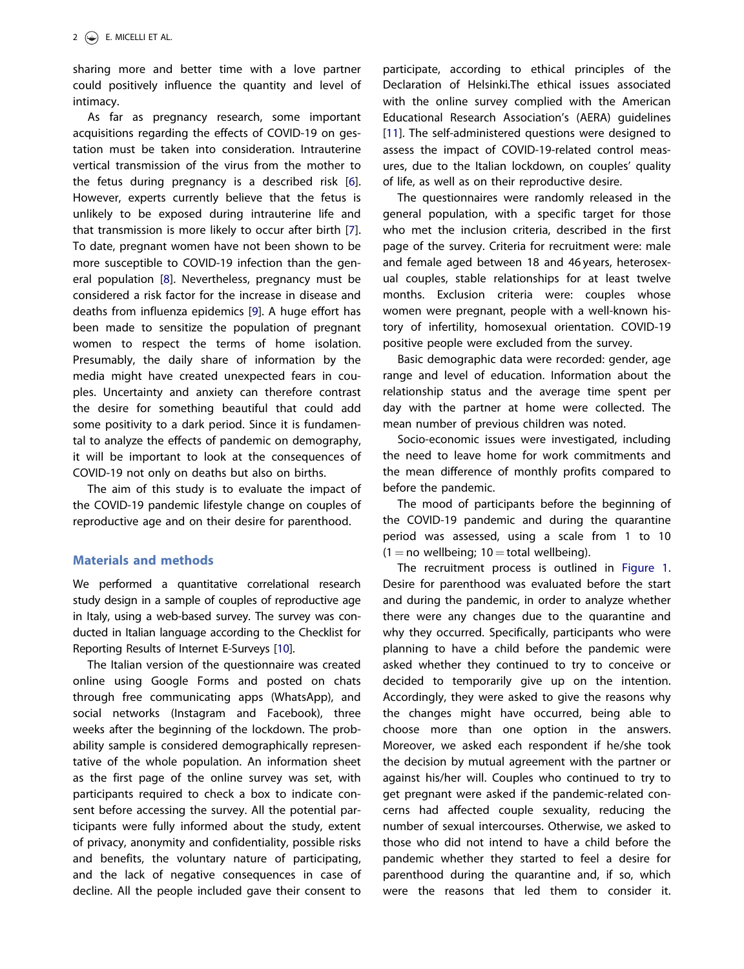sharing more and better time with a love partner could positively influence the quantity and level of intimacy.

As far as pregnancy research, some important acquisitions regarding the effects of COVID-19 on gestation must be taken into consideration. Intrauterine vertical transmission of the virus from the mother to the fetus during pregnancy is a described risk [6]. However, experts currently believe that the fetus is unlikely to be exposed during intrauterine life and that transmission is more likely to occur after birth [7]. To date, pregnant women have not been shown to be more susceptible to COVID-19 infection than the general population [8]. Nevertheless, pregnancy must be considered a risk factor for the increase in disease and deaths from influenza epidemics [9]. A huge effort has been made to sensitize the population of pregnant women to respect the terms of home isolation. Presumably, the daily share of information by the media might have created unexpected fears in couples. Uncertainty and anxiety can therefore contrast the desire for something beautiful that could add some positivity to a dark period. Since it is fundamental to analyze the effects of pandemic on demography, it will be important to look at the consequences of COVID-19 not only on deaths but also on births.

The aim of this study is to evaluate the impact of the COVID-19 pandemic lifestyle change on couples of reproductive age and on their desire for parenthood.

# Materials and methods

We performed a quantitative correlational research study design in a sample of couples of reproductive age in Italy, using a web-based survey. The survey was conducted in Italian language according to the Checklist for Reporting Results of Internet E-Surveys [10].

The Italian version of the questionnaire was created online using Google Forms and posted on chats through free communicating apps (WhatsApp), and social networks (Instagram and Facebook), three weeks after the beginning of the lockdown. The probability sample is considered demographically representative of the whole population. An information sheet as the first page of the online survey was set, with participants required to check a box to indicate consent before accessing the survey. All the potential participants were fully informed about the study, extent of privacy, anonymity and confidentiality, possible risks and benefits, the voluntary nature of participating, and the lack of negative consequences in case of decline. All the people included gave their consent to

participate, according to ethical principles of the Declaration of Helsinki.The ethical issues associated with the online survey complied with the American Educational Research Association's (AERA) guidelines [11]. The self-administered questions were designed to assess the impact of COVID-19-related control measures, due to the Italian lockdown, on couples' quality of life, as well as on their reproductive desire.

The questionnaires were randomly released in the general population, with a specific target for those who met the inclusion criteria, described in the first page of the survey. Criteria for recruitment were: male and female aged between 18 and 46 years, heterosexual couples, stable relationships for at least twelve months. Exclusion criteria were: couples whose women were pregnant, people with a well-known history of infertility, homosexual orientation. COVID-19 positive people were excluded from the survey.

Basic demographic data were recorded: gender, age range and level of education. Information about the relationship status and the average time spent per day with the partner at home were collected. The mean number of previous children was noted.

Socio-economic issues were investigated, including the need to leave home for work commitments and the mean difference of monthly profits compared to before the pandemic.

The mood of participants before the beginning of the COVID-19 pandemic and during the quarantine period was assessed, using a scale from 1 to 10  $(1 = no$  wellbeing;  $10 = total$  wellbeing).

The recruitment process is outlined in Figure 1. Desire for parenthood was evaluated before the start and during the pandemic, in order to analyze whether there were any changes due to the quarantine and why they occurred. Specifically, participants who were planning to have a child before the pandemic were asked whether they continued to try to conceive or decided to temporarily give up on the intention. Accordingly, they were asked to give the reasons why the changes might have occurred, being able to choose more than one option in the answers. Moreover, we asked each respondent if he/she took the decision by mutual agreement with the partner or against his/her will. Couples who continued to try to get pregnant were asked if the pandemic-related concerns had affected couple sexuality, reducing the number of sexual intercourses. Otherwise, we asked to those who did not intend to have a child before the pandemic whether they started to feel a desire for parenthood during the quarantine and, if so, which were the reasons that led them to consider it.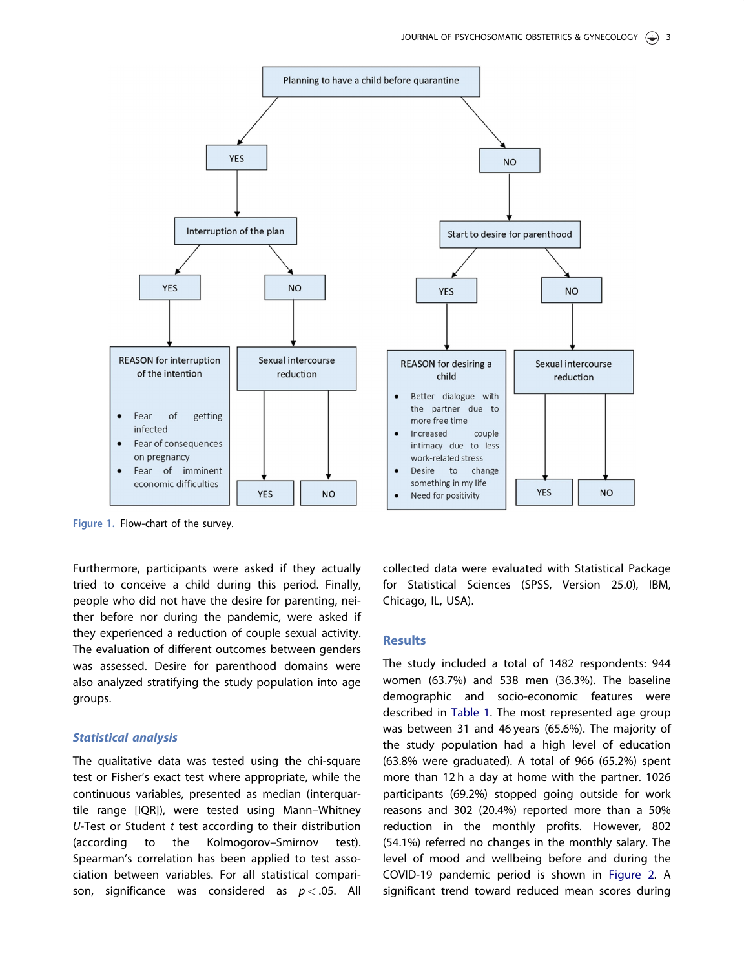

Figure 1. Flow-chart of the survey.

Furthermore, participants were asked if they actually tried to conceive a child during this period. Finally, people who did not have the desire for parenting, neither before nor during the pandemic, were asked if they experienced a reduction of couple sexual activity. The evaluation of different outcomes between genders was assessed. Desire for parenthood domains were also analyzed stratifying the study population into age groups.

### Statistical analysis

The qualitative data was tested using the chi-square test or Fisher's exact test where appropriate, while the continuous variables, presented as median (interquartile range [IQR]), were tested using Mann–Whitney U-Test or Student  $t$  test according to their distribution (according to the Kolmogorov–Smirnov test). Spearman's correlation has been applied to test association between variables. For all statistical comparison, significance was considered as  $p < .05$ . All collected data were evaluated with Statistical Package for Statistical Sciences (SPSS, Version 25.0), IBM, Chicago, IL, USA).

# **Results**

The study included a total of 1482 respondents: 944 women (63.7%) and 538 men (36.3%). The baseline demographic and socio-economic features were described in Table 1. The most represented age group was between 31 and 46 years (65.6%). The majority of the study population had a high level of education (63.8% were graduated). A total of 966 (65.2%) spent more than 12 h a day at home with the partner. 1026 participants (69.2%) stopped going outside for work reasons and 302 (20.4%) reported more than a 50% reduction in the monthly profits. However, 802 (54.1%) referred no changes in the monthly salary. The level of mood and wellbeing before and during the COVID-19 pandemic period is shown in Figure 2. A significant trend toward reduced mean scores during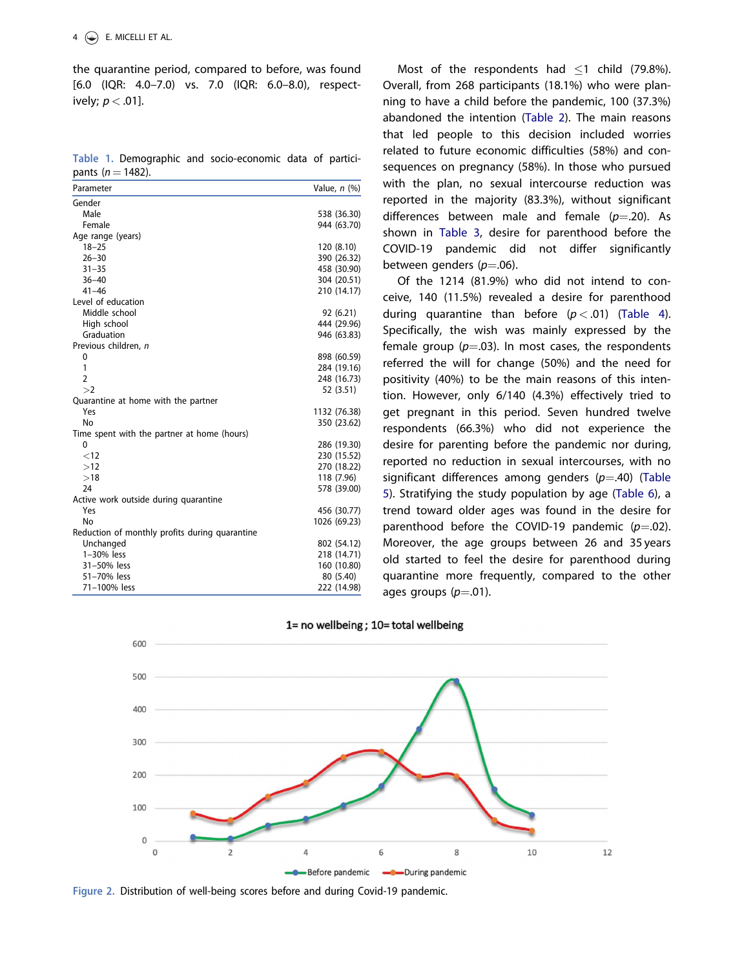the quarantine period, compared to before, was found [6.0 (IQR: 4.0–7.0) vs. 7.0 (IQR: 6.0–8.0), respectively;  $p < .01$ ].

Table 1. Demographic and socio-economic data of participants  $(n = 1482)$ .

| Parameter                                      | Value, $n$ (%) |
|------------------------------------------------|----------------|
| Gender                                         |                |
| Male                                           | 538 (36.30)    |
| Female                                         | 944 (63.70)    |
| Age range (years)                              |                |
| $18 - 25$                                      | 120(8.10)      |
| $26 - 30$                                      | 390 (26.32)    |
| $31 - 35$                                      | 458 (30.90)    |
| $36 - 40$                                      | 304 (20.51)    |
| $41 - 46$                                      | 210 (14.17)    |
| Level of education                             |                |
| Middle school                                  | 92 (6.21)      |
| High school                                    | 444 (29.96)    |
| Graduation                                     | 946 (63.83)    |
| Previous children, n                           |                |
| 0                                              | 898 (60.59)    |
| 1                                              | 284 (19.16)    |
| $\overline{2}$                                 | 248 (16.73)    |
| >2                                             | 52 (3.51)      |
| Quarantine at home with the partner            |                |
| Yes                                            | 1132 (76.38)   |
| No                                             | 350 (23.62)    |
| Time spent with the partner at home (hours)    |                |
| 0                                              | 286 (19.30)    |
| $<$ 12                                         | 230 (15.52)    |
| >12                                            | 270 (18.22)    |
| >18                                            | 118 (7.96)     |
| 24                                             | 578 (39.00)    |
| Active work outside during quarantine          |                |
| Yes                                            | 456 (30.77)    |
| No                                             | 1026 (69.23)   |
| Reduction of monthly profits during quarantine |                |
| Unchanged                                      | 802 (54.12)    |
| 1-30% less                                     | 218 (14.71)    |
| 31-50% less                                    | 160 (10.80)    |
| 51-70% less                                    | 80 (5.40)      |
| 71-100% less                                   | 222 (14.98)    |

Most of the respondents had  $\leq$ 1 child (79.8%). Overall, from 268 participants (18.1%) who were planning to have a child before the pandemic, 100 (37.3%) abandoned the intention (Table 2). The main reasons that led people to this decision included worries related to future economic difficulties (58%) and consequences on pregnancy (58%). In those who pursued with the plan, no sexual intercourse reduction was reported in the majority (83.3%), without significant differences between male and female  $(p=.20)$ . As shown in Table 3, desire for parenthood before the COVID-19 pandemic did not differ significantly between genders  $(p=.06)$ .

Of the 1214 (81.9%) who did not intend to conceive, 140 (11.5%) revealed a desire for parenthood during quarantine than before  $(p < .01)$  (Table 4). Specifically, the wish was mainly expressed by the female group ( $p=0.03$ ). In most cases, the respondents referred the will for change (50%) and the need for positivity (40%) to be the main reasons of this intention. However, only 6/140 (4.3%) effectively tried to get pregnant in this period. Seven hundred twelve respondents (66.3%) who did not experience the desire for parenting before the pandemic nor during, reported no reduction in sexual intercourses, with no significant differences among genders ( $p=0.40$ ) (Table 5). Stratifying the study population by age (Table 6), a trend toward older ages was found in the desire for parenthood before the COVID-19 pandemic  $(p=.02)$ . Moreover, the age groups between 26 and 35 years old started to feel the desire for parenthood during quarantine more frequently, compared to the other ages groups  $(p=0.01)$ .



1= no wellbeing; 10= total wellbeing

Figure 2. Distribution of well-being scores before and during Covid-19 pandemic.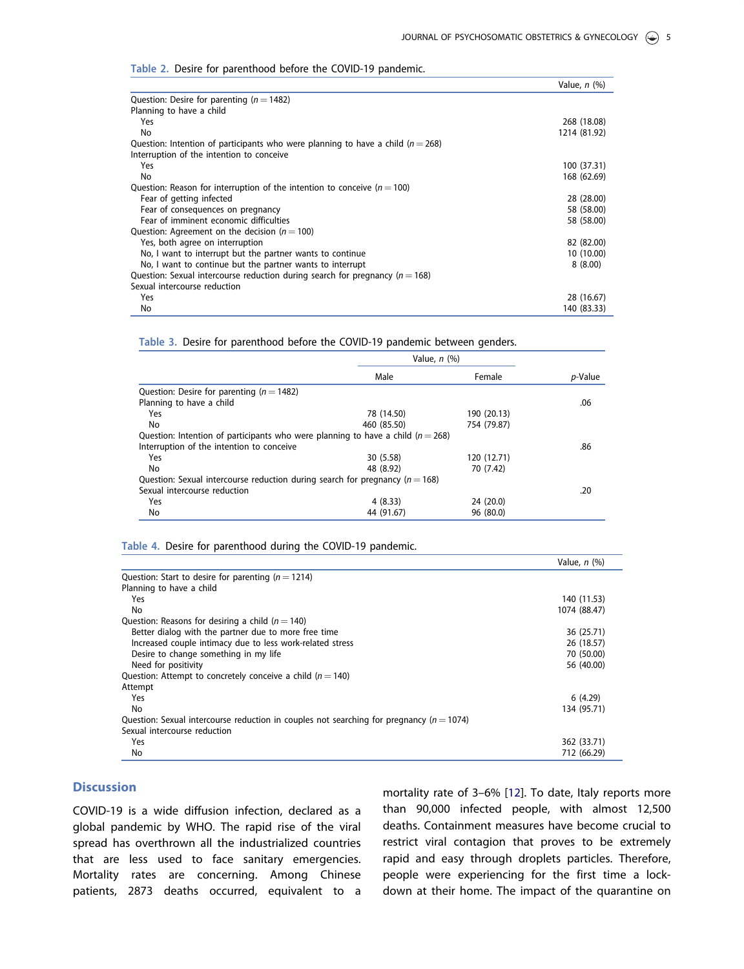|  |  | Table 2. Desire for parenthood before the COVID-19 pandemic. |  |  |  |
|--|--|--------------------------------------------------------------|--|--|--|
|  |  |                                                              |  |  |  |

|                                                                                     | Value, $n$ (%) |
|-------------------------------------------------------------------------------------|----------------|
| Question: Desire for parenting ( $n = 1482$ )                                       |                |
| Planning to have a child                                                            |                |
| Yes                                                                                 | 268 (18.08)    |
| No                                                                                  | 1214 (81.92)   |
| Question: Intention of participants who were planning to have a child ( $n = 268$ ) |                |
| Interruption of the intention to conceive                                           |                |
| Yes                                                                                 | 100 (37.31)    |
| No                                                                                  | 168 (62.69)    |
| Question: Reason for interruption of the intention to conceive ( $n = 100$ )        |                |
| Fear of getting infected                                                            | 28 (28.00)     |
| Fear of consequences on pregnancy                                                   | 58 (58.00)     |
| Fear of imminent economic difficulties                                              | 58 (58.00)     |
| Question: Agreement on the decision ( $n = 100$ )                                   |                |
| Yes, both agree on interruption                                                     | 82 (82.00)     |
| No, I want to interrupt but the partner wants to continue                           | 10 (10.00)     |
| No, I want to continue but the partner wants to interrupt                           | 8(8.00)        |
| Question: Sexual intercourse reduction during search for pregnancy ( $n = 168$ )    |                |
| Sexual intercourse reduction                                                        |                |
| Yes                                                                                 | 28 (16.67)     |
| No                                                                                  | 140 (83.33)    |

|  | Table 3. Desire for parenthood before the COVID-19 pandemic between genders. |  |  |              |  |
|--|------------------------------------------------------------------------------|--|--|--------------|--|
|  |                                                                              |  |  | $\mathbf{U}$ |  |

|                                                                                     |             | Value, $n$ $(\%)$ |                 |
|-------------------------------------------------------------------------------------|-------------|-------------------|-----------------|
|                                                                                     | Male        | Female            | <i>p</i> -Value |
| Question: Desire for parenting ( $n = 1482$ )                                       |             |                   |                 |
| Planning to have a child                                                            |             |                   | .06             |
| Yes                                                                                 | 78 (14.50)  | 190 (20.13)       |                 |
| No                                                                                  | 460 (85.50) | 754 (79.87)       |                 |
| Question: Intention of participants who were planning to have a child ( $n = 268$ ) |             |                   |                 |
| Interruption of the intention to conceive                                           |             |                   | .86             |
| Yes                                                                                 | 30 (5.58)   | 120 (12.71)       |                 |
| No                                                                                  | 48 (8.92)   | 70 (7.42)         |                 |
| Question: Sexual intercourse reduction during search for pregnancy ( $n = 168$ )    |             |                   |                 |
| Sexual intercourse reduction                                                        |             |                   | .20             |
| Yes                                                                                 | 4(8.33)     | 24 (20.0)         |                 |
| No                                                                                  | 44 (91.67)  | 96 (80.0)         |                 |

|  |  | Table 4. Desire for parenthood during the COVID-19 pandemic. |  |  |
|--|--|--------------------------------------------------------------|--|--|
|  |  |                                                              |  |  |

|                                                                                              | Value, $n$ $(\%)$ |
|----------------------------------------------------------------------------------------------|-------------------|
| Question: Start to desire for parenting ( $n = 1214$ )                                       |                   |
| Planning to have a child                                                                     |                   |
| Yes                                                                                          | 140 (11.53)       |
| No                                                                                           | 1074 (88.47)      |
| Question: Reasons for desiring a child ( $n = 140$ )                                         |                   |
| Better dialog with the partner due to more free time                                         | 36 (25.71)        |
| Increased couple intimacy due to less work-related stress                                    | 26 (18.57)        |
| Desire to change something in my life                                                        | 70 (50.00)        |
| Need for positivity                                                                          | 56 (40.00)        |
| Question: Attempt to concretely conceive a child ( $n = 140$ )                               |                   |
| Attempt                                                                                      |                   |
| Yes                                                                                          | 6(4.29)           |
| No                                                                                           | 134 (95.71)       |
| Question: Sexual intercourse reduction in couples not searching for pregnancy ( $n = 1074$ ) |                   |
| Sexual intercourse reduction                                                                 |                   |
| Yes                                                                                          | 362 (33.71)       |
| No                                                                                           | 712 (66.29)       |

# **Discussion**

COVID-19 is a wide diffusion infection, declared as a global pandemic by WHO. The rapid rise of the viral spread has overthrown all the industrialized countries that are less used to face sanitary emergencies. Mortality rates are concerning. Among Chinese patients, 2873 deaths occurred, equivalent to a

mortality rate of 3–6% [12]. To date, Italy reports more than 90,000 infected people, with almost 12,500 deaths. Containment measures have become crucial to restrict viral contagion that proves to be extremely rapid and easy through droplets particles. Therefore, people were experiencing for the first time a lockdown at their home. The impact of the quarantine on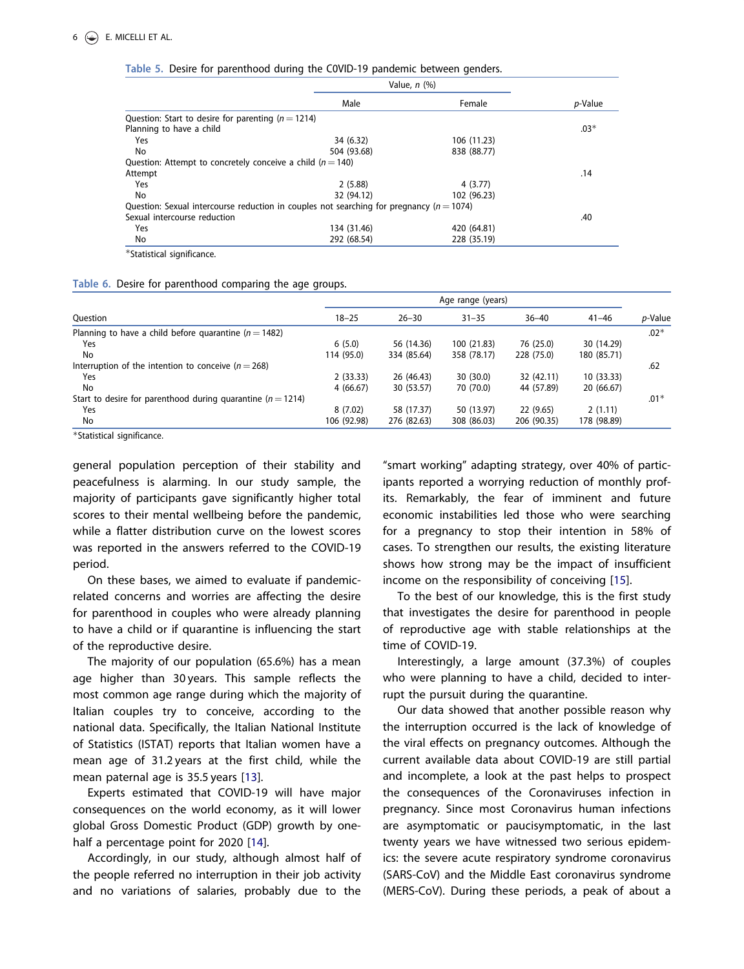### Table 5. Desire for parenthood during the C0VID-19 pandemic between genders.

| Male        | Female                                                                                                             | p-Value                                                                                                           |
|-------------|--------------------------------------------------------------------------------------------------------------------|-------------------------------------------------------------------------------------------------------------------|
|             |                                                                                                                    |                                                                                                                   |
|             |                                                                                                                    | $.03*$                                                                                                            |
| 34 (6.32)   | 106 (11.23)                                                                                                        |                                                                                                                   |
| 504 (93.68) | 838 (88.77)                                                                                                        |                                                                                                                   |
|             |                                                                                                                    |                                                                                                                   |
|             |                                                                                                                    | .14                                                                                                               |
| 2(5.88)     | 4 (3.77)                                                                                                           |                                                                                                                   |
| 32 (94.12)  | 102 (96.23)                                                                                                        |                                                                                                                   |
|             |                                                                                                                    |                                                                                                                   |
|             |                                                                                                                    | .40                                                                                                               |
| 134 (31.46) | 420 (64.81)                                                                                                        |                                                                                                                   |
| 292 (68.54) | 228 (35.19)                                                                                                        |                                                                                                                   |
|             | Question: Start to desire for parenting $(n = 1214)$<br>Question: Attempt to concretely conceive a child $(n=140)$ | Value, $n$ $(\%)$<br>Question: Sexual intercourse reduction in couples not searching for pregnancy ( $n = 1074$ ) |

Statistical significance.

|  |  | Table 6. Desire for parenthood comparing the age groups. |  |  |
|--|--|----------------------------------------------------------|--|--|
|  |  |                                                          |  |  |

|                                                                 | Age range (years) |             |             |             |             |         |  |
|-----------------------------------------------------------------|-------------------|-------------|-------------|-------------|-------------|---------|--|
| <b>Ouestion</b>                                                 | $18 - 25$         | $26 - 30$   | $31 - 35$   | $36 - 40$   | $41 - 46$   | p-Value |  |
| Planning to have a child before quarantine ( $n = 1482$ )       |                   |             |             |             |             | $.02*$  |  |
| Yes                                                             | 6(5.0)            | 56 (14.36)  | 100 (21.83) | 76 (25.0)   | 30 (14.29)  |         |  |
| No                                                              | 114 (95.0)        | 334 (85.64) | 358 (78.17) | 228 (75.0)  | 180 (85.71) |         |  |
| Interruption of the intention to conceive ( $n = 268$ )         |                   |             |             |             |             | .62     |  |
| Yes                                                             | 2(33.33)          | 26 (46.43)  | 30 (30.0)   | 32 (42.11)  | 10(33.33)   |         |  |
| No                                                              | 4(66.67)          | 30 (53.57)  | 70 (70.0)   | 44 (57.89)  | 20 (66.67)  |         |  |
| Start to desire for parenthood during quarantine ( $n = 1214$ ) |                   |             |             |             |             | $.01*$  |  |
| Yes                                                             | 8(7.02)           | 58 (17.37)  | 50 (13.97)  | 22(9.65)    | 2(1.11)     |         |  |
| No                                                              | 106 (92.98)       | 276 (82.63) | 308 (86.03) | 206 (90.35) | 178 (98.89) |         |  |

Statistical significance.

general population perception of their stability and peacefulness is alarming. In our study sample, the majority of participants gave significantly higher total scores to their mental wellbeing before the pandemic, while a flatter distribution curve on the lowest scores was reported in the answers referred to the COVID-19 period.

On these bases, we aimed to evaluate if pandemicrelated concerns and worries are affecting the desire for parenthood in couples who were already planning to have a child or if quarantine is influencing the start of the reproductive desire.

The majority of our population (65.6%) has a mean age higher than 30 years. This sample reflects the most common age range during which the majority of Italian couples try to conceive, according to the national data. Specifically, the Italian National Institute of Statistics (ISTAT) reports that Italian women have a mean age of 31.2 years at the first child, while the mean paternal age is 35.5 years [13].

Experts estimated that COVID-19 will have major consequences on the world economy, as it will lower global Gross Domestic Product (GDP) growth by onehalf a percentage point for 2020 [14].

Accordingly, in our study, although almost half of the people referred no interruption in their job activity and no variations of salaries, probably due to the

"smart working" adapting strategy, over 40% of participants reported a worrying reduction of monthly profits. Remarkably, the fear of imminent and future economic instabilities led those who were searching for a pregnancy to stop their intention in 58% of cases. To strengthen our results, the existing literature shows how strong may be the impact of insufficient income on the responsibility of conceiving [15].

To the best of our knowledge, this is the first study that investigates the desire for parenthood in people of reproductive age with stable relationships at the time of COVID-19.

Interestingly, a large amount (37.3%) of couples who were planning to have a child, decided to interrupt the pursuit during the quarantine.

Our data showed that another possible reason why the interruption occurred is the lack of knowledge of the viral effects on pregnancy outcomes. Although the current available data about COVID-19 are still partial and incomplete, a look at the past helps to prospect the consequences of the Coronaviruses infection in pregnancy. Since most Coronavirus human infections are asymptomatic or paucisymptomatic, in the last twenty years we have witnessed two serious epidemics: the severe acute respiratory syndrome coronavirus (SARS-CoV) and the Middle East coronavirus syndrome (MERS-CoV). During these periods, a peak of about a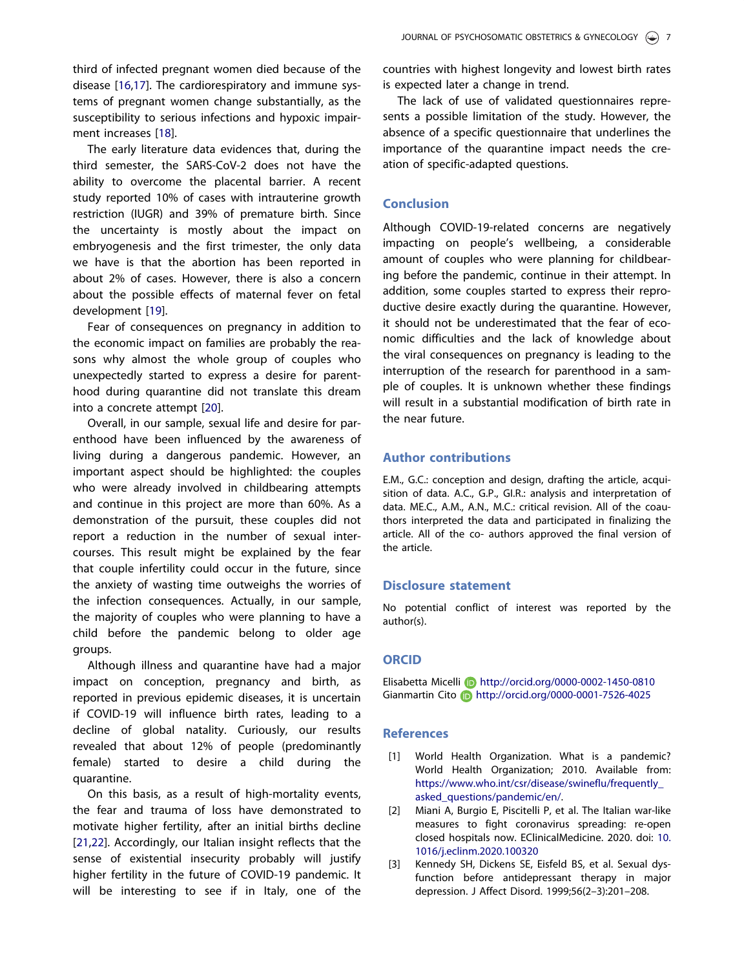third of infected pregnant women died because of the disease [16,17]. The cardiorespiratory and immune systems of pregnant women change substantially, as the susceptibility to serious infections and hypoxic impairment increases [18].

The early literature data evidences that, during the third semester, the SARS-CoV-2 does not have the ability to overcome the placental barrier. A recent study reported 10% of cases with intrauterine growth restriction (IUGR) and 39% of premature birth. Since the uncertainty is mostly about the impact on embryogenesis and the first trimester, the only data we have is that the abortion has been reported in about 2% of cases. However, there is also a concern about the possible effects of maternal fever on fetal development [19].

Fear of consequences on pregnancy in addition to the economic impact on families are probably the reasons why almost the whole group of couples who unexpectedly started to express a desire for parenthood during quarantine did not translate this dream into a concrete attempt [20].

Overall, in our sample, sexual life and desire for parenthood have been influenced by the awareness of living during a dangerous pandemic. However, an important aspect should be highlighted: the couples who were already involved in childbearing attempts and continue in this project are more than 60%. As a demonstration of the pursuit, these couples did not report a reduction in the number of sexual intercourses. This result might be explained by the fear that couple infertility could occur in the future, since the anxiety of wasting time outweighs the worries of the infection consequences. Actually, in our sample, the majority of couples who were planning to have a child before the pandemic belong to older age groups.

Although illness and quarantine have had a major impact on conception, pregnancy and birth, as reported in previous epidemic diseases, it is uncertain if COVID-19 will influence birth rates, leading to a decline of global natality. Curiously, our results revealed that about 12% of people (predominantly female) started to desire a child during the quarantine.

On this basis, as a result of high-mortality events, the fear and trauma of loss have demonstrated to motivate higher fertility, after an initial births decline [21,22]. Accordingly, our Italian insight reflects that the sense of existential insecurity probably will justify higher fertility in the future of COVID-19 pandemic. It will be interesting to see if in Italy, one of the countries with highest longevity and lowest birth rates is expected later a change in trend.

The lack of use of validated questionnaires represents a possible limitation of the study. However, the absence of a specific questionnaire that underlines the importance of the quarantine impact needs the creation of specific-adapted questions.

### Conclusion

Although COVID-19-related concerns are negatively impacting on people's wellbeing, a considerable amount of couples who were planning for childbearing before the pandemic, continue in their attempt. In addition, some couples started to express their reproductive desire exactly during the quarantine. However, it should not be underestimated that the fear of economic difficulties and the lack of knowledge about the viral consequences on pregnancy is leading to the interruption of the research for parenthood in a sample of couples. It is unknown whether these findings will result in a substantial modification of birth rate in the near future.

#### Author contributions

E.M., G.C.: conception and design, drafting the article, acquisition of data. A.C., G.P., GI.R.: analysis and interpretation of data. ME.C., A.M., A.N., M.C.: critical revision. All of the coauthors interpreted the data and participated in finalizing the article. All of the co- authors approved the final version of the article.

### Disclosure statement

No potential conflict of interest was reported by the author(s).

# **ORCID**

Elisabetta Micelli D http://orcid.org/0000-0002-1450-0810 Gianmartin Cito http://orcid.org/0000-0001-7526-4025

### **References**

- [1] World Health Organization. What is a pandemic? World Health Organization; 2010. Available from: https://www.who.int/csr/disease/swineflu/frequently\_ asked\_questions/pandemic/en/.
- [2] Miani A, Burgio E, Piscitelli P, et al. The Italian war-like measures to fight coronavirus spreading: re-open closed hospitals now. EClinicalMedicine. 2020. doi: 10. 1016/j.eclinm.2020.100320
- [3] Kennedy SH, Dickens SE, Eisfeld BS, et al. Sexual dysfunction before antidepressant therapy in major depression. J Affect Disord. 1999;56(2–3):201–208.